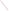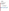# **Environmental Technology Verification Program** Advanced Monitoring Systems Center

Generic Verification Protocol for Verification of Online Turbidimeters

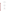### **GENERIC VERIFICATION PROTOCOL**

**for**

## Verification of Online Turbidimeters

Version 1.0

**June 4, 2012**

**Prepared by**

**Battelle 505 King Avenue Columbus, OH 43201-2693**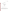*Generic Verification Protocol Turbidimeters Page 1 of 42 Version 1.0 June 4, 2012*

#### **SECTION A**

#### **PROJECT MANAGEMENT**

#### <span id="page-3-1"></span><span id="page-3-0"></span>**A1 VENDOR APPROVAL PAGE**

ETV Advanced Monitoring Systems Center

Generic Verification Protocol for Verification of Online Turbidimeters

> Version 1.0 June 4, 2012

APPROVAL:

Name \_\_\_\_\_\_\_\_\_\_\_\_\_\_\_\_\_\_\_\_\_\_\_\_\_\_\_\_\_\_\_\_\_\_

Company \_\_\_\_\_\_\_\_\_\_\_\_\_\_\_\_\_\_\_\_\_\_\_\_\_\_\_\_\_\_\_

Date  $\Box$ 

*The U.S. Environmental Protection Agency, through its Office of Research and Development, funded and managed, or partially funded and collaborated in, the research described herein. It has been subjected to the Agency's peer and administrative review. Any opinions expressed in this report are those of the author(s) and do not necessarily reflect the views of the Agency, therefore, no official endorsement should be inferred. Any mention of trade names or commercial products does not constitute endorsement or recommendation for use.*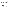#### <span id="page-4-0"></span> $A2$ **TABLE OF CONTENTS**

Section

| A <sub>1</sub> |  |
|----------------|--|
| A2             |  |
| A <sub>3</sub> |  |
| A4             |  |
| A <sub>5</sub> |  |
| A <sub>6</sub> |  |
| A7             |  |
| A8             |  |
| A <sub>9</sub> |  |
| A10            |  |
|                |  |
|                |  |
| B1             |  |
| B <sub>2</sub> |  |
| B <sub>3</sub> |  |
| <b>B4</b>      |  |
| B <sub>5</sub> |  |
| B <sub>6</sub> |  |
| B7             |  |
| <b>B8</b>      |  |
| <b>B9</b>      |  |
| <b>B10</b>     |  |
|                |  |
|                |  |
| C <sub>1</sub> |  |
| C <sub>2</sub> |  |
|                |  |
|                |  |
| D <sub>1</sub> |  |
| D2             |  |
| D <sub>3</sub> |  |
|                |  |
|                |  |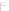Section Page

#### **APPENDIX**

Appendix A EPA Method 180.1

Appendix B Recirculation System Schematic [to be completed for final QAPP] Appendix C Example Data Sheets [to be completed for final QAPP]

#### **Figures**

#### **Tables**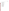*Generic Verification Protocol Turbidimeters Page 4 of 42 Version 1.0 June 4, 2012*

#### <span id="page-6-0"></span>**A3 LIST OF ACRONYMS AND ABBREVIATIONS**

%RSD percent relative standard deviation ADQ audit of data quality AMS Advanced Monitoring Systems ATP Alternate Test Procedure COA certificates of analysis DI deionized DQIs data quality indicators EPA U.S. Environmental Protection Agency ETV Environmental Technology Verification L liter LRB laboratory record book NTU nephelometric turbidity unit MQO measurement quality objective PEA performance evaluation audit QA quality assurance QAPP Quality Assurance Project Plan QM Quality Manager QC quality control QMP Quality Management Plan RMO Records Management Office RSD relative standard deviation SDVB styrene divinylbenzene TSA technical systems audit VTC Verification Test Coordinator IR infrared PC personal computer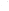*Generic Verification Protocol Turbidimeters Page 5 of 42 Version 1.0 June 4, 2012*

#### <span id="page-7-0"></span>**A4 DISTRIBUTION LIST\***

#### **U.S. Environmental Protection Agency (EPA)**

EPA Advanced Monitoring Systems (AMS) Center Project Officer EPA AMS Center Quality Manager (QM)

#### **Battelle**

Battelle AMS Center Manager Battelle Verification Test Coordinator (VTC) Battelle AMS Center QM Battelle Technical Staff

**\*** Once vendors agree to participate in a verification test in this technology category, this generic protocol will be modified to be specific for the technology(ies) to be verified and then reviewed, finalized, and distributed to the following:

**Vendor(s)**

**Peer Reviewers, at least one EPA Office of Water reviewer and one non-EPA reviewer**

**Reference Laboratory, if applicable**

**Test Collaborators (e.g., water utilities), if applicable**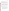#### <span id="page-8-0"></span>**A5 VERIFICATION TEST ORGANIZATION**

This protocol provides generic procedures for implementing a verification test for the performance of online turbidimeters. The verification tests described in this document will be conducted under the Environmental Technology Verification (ETV) Program. Verification tests will be performed by Battelle, which is managing the ETV Advanced Monitoring Systems (AMS) Center through a cooperative agreement with the EPA. The scope of the AMS Center covers verification of monitoring technologies for contaminants and natural species in air, water, and soil.

Quality Assurance (QA) oversight will be provided by the Battelle AMS Center QM and by the EPA AMS Center QM at their discretion. Based on the procedures outlined in this document, it is anticipated that verifications performed based on this generic protocol will be EPA Category III verification tests. The final determination will be made by the EPA AMS Center QM once the generic protocol is modified to be specific to the technology(ies) being verified. The organization chart in Figure 1 identifies the responsibilities of the organizations and individuals associated with these verification tests. Roles and responsibilities are defined further below.

#### **A5.1 Battelle**

Battelle's AMS Center VTC. Battelle's AMS Center VTC will have overall responsibility for ensuring that the technical, schedule, and cost goals established for the verification tests are met. Specifically, the VTC will:

- Assemble a team of qualified technical staff to conduct the verification tests,
- Hold a kick-off meeting approximately one week prior to the start of the verification tests to review the critical logistical, technical, and administrative aspects of the verification tests and confirm responsibility for each aspect of the verification test,
- Direct the team (e.g., Battelle testing staff and vendor) in performing the verification tests in accordance with the Quality Assurance Project Plan (QAPP),
- Ensure that all quality procedures specified in the QAPP and in the AMS Center Quality Management  $Plan<sup>1</sup>$  (QMP) are followed,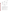

**Figure 1. Organizational Chart**

- Maintain real-time communication with the Battelle AMS Center Manager, Battelle AMS Center QM, EPA AMS Center Project Officer, and EPA AMS Center QM on any potential or actual deviations from the QAPP,
- Prepare the draft and final QAPP, verification report, and verification statements,
- Provide test data, including data from the first day of testing, to the Battelle AMS Center Manager, Battelle AMS Center QM, EPA AMS Center Project Officer, and EPA AMS Center QM,
- Conduct a technical review of all test data. Designate an appropriate Battelle technical staff member to review data generated by the VTC,
- Revise the draft QAPP, verification report, and verification statements in response to reviewers' comments,
- Document and prepare any deviations to the QAPP that may occur during testing,
- Address any comments from reviewers regarding testing or the deviations,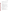- Respond to any issues raised in assessment reports and audits, including instituting corrective action as necessary,
- Serve as the primary point of contact for vendor(s) representative(s),
- Coordinate distribution of the final OAPP, verification report(s), and statement(s), and,
- Establish a budget for the verification tests and manage staff to ensure the budget is not exceeded.

Battelle's AMS Center Manager. Battelle's manager for the AMS Center will:

- Review the draft and final QAPP,
- Review the draft and final verification report and verification statements,
- Ensure that necessary Battelle resources, including staff and facilities, are committed to the verification tests,
- Ensure that confidentiality of sensitive vendor information is maintained,
- Ensure that testing staff respond to QAPP deviations and any issues raised in assessment reports, audits, or from test staff observations, and that any necessary corrective actions have been implemented,
- Maintain communication with EPA's AMS Center Project Officer and QM, and
- Facilitate a stop work order if Battelle or EPA QA staff discover adverse findings that will compromise data quality or test results.

Battelle Testing Staff. Battelle Testing Staff will support the VTC in conducting these verification tests. Battelle Testing Staff will:

- Assist in planning for the tests, and making arrangements for the receipt of and training on the technologies,
- Attend the verification test kick-off meeting, as requested,
- Assist vendor staff as needed during technology receipt and training,
- Participate in training provided by the vendor(s), as requested,
- Conduct verification testing following all aspects of the ETV AMS Center OMP as well as this QAPP,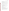- Record qualitative observations about the maintenance and operation of the technology(ies) during testing,
- Ensure that the data from the technology(ies) are immediately reviewed for quality, and compiled, recorded, and transmitted to the VTC, on the first day of testing and thereafter on at least a weekly basis,
- Notify the VTC of any QAPP deviations and institute corrective action as necessary,
- Support the VTC in the preparation of the QAPP, report, and verification statements, as necessary, and
- Support the VTC in responding to any issues raised in assessment reports and audits related to technical performance, statistics, or data reduction as needed.

Battelle's AMS Center Quality Manager. The Battelle QM or a designated QA Officer will:

- Review the draft and final QAPP,
- Attend the verification test kick-off meeting and lead the discussion of the QA elements of the kick-off meeting checklist,
- Prior to the start of verification testing, verify the presence of applicable training records, including any vendor training on test equipment,
- Prepare audit checklists,
- Conduct a technical systems audit at least once near the beginning of each verification test,
- Conduct audits to verify data quality,
- Prepare and distribute an audit report for each audit,
- Verify that audit responses for each audit finding and observation are appropriate and that corrective action has been implemented effectively,
- Communicate to the VTC and/or technical staff the need for immediate corrective action if an audit identifies QAPP deviations or practices that threaten data quality,
- Provide a summary of the QA/quality control (QC) activities and results for the verification reports,
- Review the draft and final verification report and verification statements,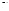- Maintain real-time communication with the VTC on QA activities, audit results, and concerns,
- Recommend a stop work order if audits indicate that data quality or safety is being compromised,
- Work with the VTC and Battelle's AMS Center Manager to resolve data quality concerns and disputes,
- Delegate QA activities to other Battelle quality staff as needed to meet project schedules, and
- Review and approve QAPP amendments, deviations and audit reports.

#### **A5.2 Vendor(s)**

The vendor's responsibilities are as follows:

- Review and provide comments on the draft QAPP,
- Approve the final QAPP prior to test initiation,
- Provide the technology to be tested for evaluation during the verification tests,
- Provide all equipment/supplies/reagents/consumables needed to operate their technology for the duration of the verification tests,
- Supply a representative to train Battelle staff in operation of their technology and provide written consent for Battelle staff to operate their technology during verification testing,
- Provide written instructions for routine calibration, operation, and maintenance of their technology, and
- Review and provide comments on the draft verification report and statement for their technology.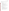### **A5.3 EPA**

EPA's responsibilities are based on the requirements stated in the "Environmental Technology Verification Program Quality Management Plan"<sup>2</sup> (ETV QMP). The roles of specific EPA verification staff are as follows:

EPA AMS Center Project Officer. The EPA AMS Center Project Officer will:

- Review the draft QAPP,
- Approve the final QAPP,
- Review and approve deviations to the approved final QAPP,
- Appoint a delegate to review and approve deviations to the approved final QAPP in his absence, so that testing progress will not be delayed,
- Review the first day of data from the verification tests and provide immediate comments if concerns are identified,
- Review the draft verification report and statements,
- Oversee the EPA review process for the verification report and statements, and
- Coordinate the submission of verification report(s) and statement(s) for final EPA approval.

EPA AMS Center Quality Manager. The EPA AMS Center QM will:

- Review the draft QAPP,
- Review deviations to the approved final QAPP,
- Review the first day of data from the verification tests and provide immediate comments if concerns are identified,
- Perform at the EPA AMS Center QM's option one external technical systems audit and/or audit of data quality during the verification tests,
- Notify the EPA AMS Center Manager of the need for a stop work order if the external audit indicates that data quality or safety is being compromised,
- Prepare and distribute an assessment report summarizing results of any external audits, and
- Review the draft verification report(s) and statement(s).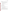#### **A5.4 Test Facilities**

Portions of this verification test will be conducted at the facilities of different water utilities. The roles of specific water utilities participating in this verification test are as follows:

- Allow facility access to vendor(s), Battelle, and EPA representatives during the scheduled verification test including set-up and tear-down operations,
- Define facility health and safety requirements to Battelle, EPA, and vendor staff who may visit the testing facility,
- Provide adequate working space during verification test,
- Provide access to adequate water flow, and
- Provide sufficient power for the simultaneous operation of all test equipment and technology(ies) being verified.

#### **A5.5. Verification Test Stakeholders**

Stakeholders for the generic protocol included:

- Rick Sakaji, East Bay Municipal Water District
- Steve Wendelken and Derek Losh, EPA Office of Water.

A QAPP will developed based on this generic protocol. The responsibilities of verification test

stakeholders who will contribute to the QAPP include:

- Participate in technical panel discussions (when available) and/or review an outline of the verification tests to provide input to the test design,
- Review and provide input to the QAPP, and
- Review and provide input to the verification report and verification statements.

The names and affiliations of the verification test stakeholders will be listed in the final QAPP. One of the verification test stakeholders will be from EPA's Office of Water. If the vendor will be utilizing ETV data to have the turbidimeter recognized under the Alternative Test Procedure (ATP) program, the Office of Water representative will be one that is involved with the ATP program.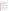#### <span id="page-15-0"></span>**A6 BACKGROUND**

#### **A6.1 Technology Need**

The ETV Program's AMS Center conducts third-party performance testing of commerciallyavailable technologies that detect or monitor natural species or contaminants in air, water, and soil. Stakeholder committees of buyers and users of such technologies recommend technology categories, and technologies within those categories, as priorities for testing. Among the technology categories recommended for testing are turbidimeters. An ETV AMS Center test/QA plan for online turbidimeters was originally published in 1999

[\(http://www.epa.gov/nrmrl/std/etv/vt-ams.html#Turbidimeters\)](http://www.epa.gov/nrmrl/std/etv/vt-ams.html#Turbidimeters)<sup>3</sup>. Four technologies were verified under this test/QA plan. This generic protocol builds on the original test/QA plan for turbidimeters plus adds elements of testing consistent with current approvals of online turbidimeters under the EPA ATP program.

The technologies tested under this plan are commercial turbidimeters capable of real-time monitoring of the low-level turbidity necessary to reliably assess compliance with current drinking water regulations. In such applications these turbidimeters can provide real-time continuous monitoring of water quality and allow early warning of potential non-compliance conditions, whereas grab sample analysis by standard methods is both time-consuming and noncontinuous.

In order for turbidimeters to be used for compliance monitoring, the technology and method must gain acceptance under the EPA ATP program

(http://water.epa.gov/scitech/methods/cwa/atp/). This acceptance is based on the performance of the vendor's turbidimeter against an EPA Method  $180.1<sup>4</sup>$  compliant turbidimeter. This protocol describes generic testing procedures to evaluate the performance of a turbidimeter that would be submitted by a vendor for ETV testing. The verification test will involve comparison to an online turbidimeter which is compliant with EPA Method 180.1 (Appendix A).

#### **A.6.2 Technology Description**

This section will describe the specific technology(ies) identified for ETV testing . This section will be updated for the final version of the QAPP based on the participating technology(ies).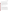What follows is an example of what might be included in this section; the text should be accompanied by figures, as appropriate, that illustrate the principles of technology operation.

The online turbidimeter technologies to be verified rely upon  $90\degree$  light scattering (i.e. nephelometry), or forward scattering, as a means of water quality characterization. These technologies are capable of continuous monitoring and can be designed either for use directly in-line by immersion in the sample stream, or alternatively, in a by-pass mode of operation. In the case of by-pass turbidimeters, the sample stream is drawn from a larger source stream and is directed through the nephelometer for subsequent analysis, whereas the immersion turbidimeters are designed for operation through direct submersion in the source water stream. Although the overall design requirements are significantly different, the basic components of these technologies are similar.

In general, these technologies contain at least the following components:

- Light source
- **Optics**
- Detector.

Typically the light sources for these technologies belong to one of two distinct groups. Historically, a filtered, broadband source has been used for turbidity measurement. This type of source consists of a tungsten lamp operated at a color temperature between 2200 - 3000 °C. More recently, narrow wavelength sources, including light emitting diodes (LEDs) and lasers, with intensity maxima in the IR wavelength range have been introduced as an alternative light source for these measurements. The technologies to be tested employ one or more light sources which fit into these categories and can be configured in single or multiple beam arrangements.

Optics in these technologies are used for focusing of the incident source beam and collection of the scattered light. The detectors used are generally either photomultiplier tubes or photodiode assemblies and are chosen to match the spectral output of the light source with the peak detector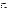response. The technologies generally provide a digital output which can be processed remotely to allow continuous, in-situ monitoring capabilities.

#### <span id="page-17-0"></span>**A7 VERIFICATION TEST DESCRIPTION AND SCHEDULE**

A final QAPP derived from this generic protocol will provide a plan for generating performance data for online turbidimeters. The data generated are intended to provide organizations and users interested in turbidimeter performance with information on the tested technology(ies) in comparison to turbidimeters compliant with EPA Method 180.1.

The overall objective of the verification test is to provide quantitative verification of the performance of online turbidimeters under realistic operational conditions. These technologies are commonly used for water quality monitoring in water treatment facilities and to help ensure compliance with drinking water regulations. For these applications, the turbidimeters must be accurate  $(\pm 10\%)$  relative to the reference measurement (in this case, a Method 180.1 compliant turbidimeter) used for reporting, and must be precise  $(\pm 10\%)$ . Since these technologies are intended for use online for compliance purposes, they should be reliable and exhibit stability to avoid frequent or unscheduled offline maintenance. The verification test is designed to address and quantify these performance characteristics.

#### **A7.1 Verification Test Description**

Since turbidity is a measurement of light scattering, a number of factors can influence the responses of these technologies to a given sample solution. Instrumental design, including light source selection and geometric differences, may result in significant differences between the responses of the technology(ies) being verified and the reference measurements. Further differences may result from the variable nature of both the size and composition of particles typically found in water streams, relative to those in standard formazin or SDVB solutions. These issues will be evaluated in this verification test by utilizing a variety of samples in the test design.

Additionally, to assess the response of these technologies to both prepared solutions and to real world water samples, verification will involve both offline and online tests. The offline test will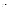include challenging the technologies with a series of prepared standards or other test solutions to verify performance under well controlled conditions. The online test will assess performance under realistic operating conditions by monitoring a sample stream in at least three municipal treatment facilities under typical normal operation.

Testing will consist of analyzing surface water, ground water, and fortified deionized (DI) water samples using both the turbidimeter undergoing verification as well as an online reference turbidimeter which is EPA Method 180.1 compliant. The reference turbidimeter must be specified in the final QAPP. The turbidimeters will be tested online in at least three water utilities and "offline" in a laboratory. Side-by-side measurements of turbidity using both the turbidimeter undergoing verification and a Method 180.1 compliant reference turbidimeter using the respective plant effluent will be conducted at each water utility. Offline testing of the turbidimeters will require the use of a sample recirculation system, similar to that used in the 1999 ETV test of online turbidimeters conducted at Battelle<sup>3</sup> with the exception that grab sampling ports will not be required. In the final QAPP, Appendix B should describe and illustrate the sample recirculation system to be used in testing.

Turbidimeters will be verified for the following performance parameters (attributes):

- Accuracy,
- Precision,
- Data completeness, and
- Operational and sustainability factors.

#### **A7.2 Proposed Testing Schedule**

Table 1 shows an estimated schedule of testing and data analysis/reporting activities to be conducted in a verification test designed using this generic protocol. Data from the verification testing should be immediately checked by the testing staff. For each technology, data should be compiled, recorded, and transmitted to the VTC on the first day of testing and on a weekly basis thereafter so that any data quality issues can be rapidly identified. The VTC should post the first day of testing data for QA and EPA review within five days of test initiation and the remaining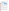data every two weeks thereafter. Unaudited data should include the disclaimer "has not been reviewed by Battelle QM."

<span id="page-19-1"></span>

|  |  | <b>Table 1. Estimated Verification Testing Schedule</b> |  |  |
|--|--|---------------------------------------------------------|--|--|
|--|--|---------------------------------------------------------|--|--|

| <b>Task</b>                     | Month 1 | <b>Month 2</b> | <b>Month 3</b> | <b>Month 4</b> | <b>Month 5</b> | Month 6 |
|---------------------------------|---------|----------------|----------------|----------------|----------------|---------|
| <b>Finalize QAPP</b>            |         |                |                |                |                |         |
| <b>Test Preparation</b>         |         |                |                |                |                |         |
| <b>Testing at Battelle</b>      |         |                |                |                |                |         |
| Testing at Water Utility 1      |         |                |                |                |                |         |
| Testing at Water Utility 2      |         |                |                |                |                |         |
| Testing at Water Utility 3      |         |                |                |                |                |         |
| Draft report                    |         |                |                |                |                |         |
| Final report                    |         |                |                |                |                |         |
| <b>Technical Systems Audits</b> |         | X              | X              | X              |                |         |
| <b>Audit of Data Quality</b>    |         | X              |                | х              |                |         |

#### **A7.3 Testing Facilities**

At least three water utilities will participate in the online testing of turbidimeters for verifications. Online testing must include at least one surface water source and one ground water source. Offline testing is anticipated to be conducted at Battelle's Columbus, OH facility, although another laboratory could be utilized if the accommodations for sample recirculation system are available to support testing.

The vendor must train Battelle staff and participating staff at each utility in the operation of their turbidimeter. Battelle staff trained in the operation of the turbidimeter to be verified will set up the turbidimeter for online operation at the testing site. It is anticipated that the same operator from each participating laboratory will operate both the turbidimeter being verified and the reference turbidimeter during testing.

#### <span id="page-19-0"></span>**A8 QUALITY OBJECTIVES AND CRITERIA FOR MEASUREMENT DATA**

The objective of these verification tests is to verify the performance of online turbidimeters against an EPA Method 180.1 compliant reference turbidimeter. The verification tests will also rely upon operator observations to assess other performance characteristics of the turbidimeters including data completeness, ease of use, and maintenance requirements.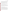Data quality indicators (DQIs) ensure that these verification tests provide suitable data for a robust evaluation of performance. DQIs have been established for flow meter accuracy and reference turbidimeter accuracy vs. an independent standard. The DQIs were established to ensure that data used to support the quantitative performance evaluations of turbidimeters are of sufficient quality. The DQI and quantitative acceptance criteria for these supporting measurements are defined in Table 2. Quantitative performance parameters for vendor technology performance are discussed in Section B.

Additionally, the verification tests rely in part on observations of the Battelle testing staff for assessment of the performance of the turbidimeters being tested. The requirements for these observations are described in the discussion of documentation requirements and data review, verification, and validation requirements for these verification tests.

The Battelle QM or designee will perform a technical systems audit (TSA) of laboratory testing activities to augment these QA/QC requirements. A TSA will be performed at Battelle during offline testing and at one participating utility during online testing and will occur within the first week of each testing phase. The EPA QM also may conduct an independent TSA at the EPA QM's discretion.

#### <span id="page-20-0"></span>**A9 SPECIAL TRAINING/CERTIFICATION**

Documentation of training related to technology testing, data analysis, and reporting is maintained for all Battelle technical staff in training files at their respective locations. The Battelle QM may verify the presence of appropriate training records prior to the start of testing. The vendors will be required to train technical staff from Battelle and each participating utility prior to the start of testing. Battelle will document this training with a consent form, signed by the vendor, which states which staff have been trained to use the vendor's turbidimeter. In the event that other staff members are required to use the technologies, they will be trained by the Battelle staff that were trained by the vendors. Battelle technical staff supporting these verification tests have a minimum of a Bachelor's degree in a scientific field or equivalent work experience.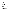| Technology                | <b>DQI</b>                      | <b>Method of</b><br><b>Assessment</b>   | <b>Frequency</b>          | <b>Measurement</b><br><b>Quality</b><br><b>Objectives</b><br>(MQO) | <b>Corrective Action</b>  |
|---------------------------|---------------------------------|-----------------------------------------|---------------------------|--------------------------------------------------------------------|---------------------------|
| <b>Flow Meter</b>         | <b>Flow Meter</b><br>Accuracy   | Stop watch and<br>graduated<br>cylinder | Once                      | $±10\%$                                                            | Recalibrate or<br>replace |
| Reference<br>Turbidimeter | Reference<br>Method<br>Accuracy | Formazin or<br>SDVB standard            | Daily prior to<br>testing | $±10\%$                                                            | Recalibrate               |

<span id="page-21-1"></span>

#### <span id="page-21-0"></span>**A10 DOCUMENTATION AND RECORDS**

The documents for these verification tests will include the final QAPP, vendor instructions, reference methods, the verification report, verification statement, and audit reports. The project records will include certificates of analysis (COA), chain-of-custody forms, laboratory record books (LRB), data collection forms, electronic files (both raw data and spreadsheets), and QA audit files. The final QAPP should include the forms to be used for online and offline data collection. All of these documents and records will be maintained at the laboratory, with the participating utilities, or in the VTC's office during the tests. At the conclusion of testing, all raw data and test records will be provided to the VTC. All test records and copies of supporting records from the participating utilities (and laboratory(ies), if not Battelle) will be transferred to permanent storage at Battelle's Records Management Office (RMO) at the conclusion of the verification tests. Electronic documents and records will also be uploaded to a SharePoint site designated for these tests and will be provided to EPA upon request. All Battelle LRBs are stored indefinitely by Battelle's RMO; other project-related data are stored for 10 years. EPA will be notified before disposal of any files. Section B10 further details the data recording practices and responsibilities.

All data generated during the conduct of this project will be recorded directly, promptly, and legibly in ink. All data entries will be dated on the date of entry and signed or initialed by the person entering the data. Any changes in entries will be made so as not to obscure the original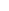entry, will be dated and signed or initialed at the time of the change and shall indicate the reason for the change. Project-specific data forms will be developed prior to testing to ensure that all critical information is documented in real time. The draft forms will be provided to the Battelle QM for review prior to use so that appropriate changes, if any, can be made.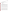#### **SECTION B**

#### **MEASUREMENT AND DATA ACQUISITION**

#### <span id="page-23-1"></span><span id="page-23-0"></span>**B1 EXPERIMENTAL DESIGN**

The verification tests described in this generic protocol address verification of turbidimeters by evaluating the following performance factors:

- Accuracy,
- Precision,
- Data completeness, and
- Operational and sustainability factors.

To assess the response of these technologies to both prepared solutions and to real world water samples, verification will involve both online and offline tests. The online test will assess longterm performance under realistic operating conditions by monitoring a sample stream in a municipal treatment facility under typical normal operation. The offline test will include challenging the technologies with a series of prepared test solutions to verify performance under well controlled conditions. Comparisons will be made to an approved EPA Method 180.1 alternative online turbidimeter to assess performance relative to this standard reference method.

Both online and offline testing will involve continuous monitoring of turbidity by multiple technologies. Throughout the testing period, a PC-based data acquisition system or data logger will be used to collect measurements from the online turbidimeters at preset intervals, as needed. If a turbidimeter has its own data logging capability, then that capability will be used to record the data.

Data will be evaluated in terms of accuracy and precision for the turbidimeter undergoing testing. Accuracy will be determined as the degree of agreement of the turbidimeter undergoing testing with a reference turbidimeter; and precision will be determined as the degree of repeatability between successive measurements of the same sample. Any seemingly large differences between the turbidimeter undergoing testing and the reference turbidimeter (i.e., an approved EPA Method 180.1 alternative online turbidimeter) noted during testing will be reported immediately to the vendor so that corrective action can be taken, as necessary. Table 3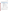presents a summary of the tests to be performed. The verification test will be conducted during an approximate 6 month timeframe. Throughout the verification tests, each turbidimeter will be operated by Battelle staff or water utility staff that have been trained by the vendor.

| <b>Phase</b> | <b>Performance</b>          |                                                                                                                              | <b>Comparison</b>                                                         | <b>Testing</b>                                                                       | <b>Number of</b>                                                                    |
|--------------|-----------------------------|------------------------------------------------------------------------------------------------------------------------------|---------------------------------------------------------------------------|--------------------------------------------------------------------------------------|-------------------------------------------------------------------------------------|
|              | <b>Parameter</b>            | <b>Objective</b>                                                                                                             | <b>Based On</b>                                                           | <b>Frequency</b>                                                                     | <b>Data Points</b>                                                                  |
| Online       | Accuracy<br>(Comparability) | Determine the<br>degree of<br>agreement<br>between trends<br>in the data from<br>the EPA<br>reference<br>method              | EPA 180.1<br>accepted<br>alternative<br>online<br>turbidimeter<br>results | 3 utilities                                                                          | Total of 3<br>surface and<br>groundwater<br>runs                                    |
| Offline      | Accuracy<br>(Percent Error) | Determine the<br>degree of<br>agreement with<br>the EPA<br>reference<br>method using<br>formazin or<br><b>SDVB</b> solutions | EPA 180.1<br>accepted<br>alternative<br>online<br>turbidimeter<br>results | 10 replicates<br>low NTU<br>solution<br>and<br>10 replicates<br>high NTU<br>solution | 20<br>replicates                                                                    |
| Offline      | Precision<br>(RSD)          | Determine the<br>degree of<br>repeatability<br>between<br>successive<br>measurements<br>of the same<br>sample                | Technology<br>results                                                     | 10 replicates<br>low NTU<br>solution<br>and<br>10 replicates<br>high NTU<br>solution | 20<br>replicates                                                                    |
| Both phases  | Data<br>Completeness        | <b>Overall Amount</b><br>of data<br>returned by<br>each<br>technology                                                        | Technology<br>results                                                     | Once. Based<br>on overall data<br>return achieved                                    | Variable,<br>depending<br>on<br>frequency of<br>data<br>collection by<br>technology |

#### <span id="page-24-0"></span>**Table 3. Summary of Tests and Testing Frequency**

#### **B1.1 Online Testing**

The online test phase will focus on assessing the accuracy and performance of the turbidimeters under realistic operating conditions, through the monitoring of typical sample streams. It is expected that natural meteorological occurrences will contribute to the variability of water quality in the treatment facility, and therefore provide a natural range of turbidity over which technology performance can be characterized.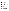The online phase will involve monitoring a sample stream of variable turbidity within the treatment facilities. Testing will be conducted at least three water utility facilities and at least one surface water sample and one ground water sample will be evaluated. Thus, at least three technology data sets will be collected during the online testing phase. One water utility may provide both a surface water and a groundwater sample, but from separate plants in the city. The specific location and number of water utilities to be included in the verification test will be defined in the final QAPP. The online turbidimeters will operate in parallel from the same source, not in series.

An online Method 180.1-compliant reference turbidimeter installed in parallel to the technologies being verified will be used to assess accuracy (comparability). Both the turbidimeter undergoing verification and the reference turbidimeter will be connected to the same water effluent line for analysis. The turbidimeters will either be directly connected to the effluent line within 5 feet of each other or connected to the same port in an effluent line using a y-connector to split the effluent evenly into both turbidimeters, depending on the configuration at the water utility. Both turbidimeters will operate for 24 hours, collecting data once per minute, or at the output rate of the turbidimeter. After 24 hours, the turbidimeter undergoing verification will be turned off to preserve the data for downloading. Reference turbidimeter readings collected by the water utility during this time period will be provided to Battelle within 5 days of collection. One aim of the verification test is to assess the real-world variability of the technologies being tested. To that end, measurements which may appear to be anomalous with comparable data will be retained in the data set. If an assignable cause can be identified, this cause will be described in the verification report.

#### **B1.2 Offline Testing**

The offline phase of the test will be aimed at assessing the accuracy and precision of the turbidimeters relative to the standard methods under controlled conditions. These parameters will be tested in an offline recirculation system that will enable testing of known formazin or styrene divinylbenzene (SDVB) solutions by the technologies being verified and a method 180.1-compliant online reference turbidimeter. Offline testing will be conducted at Battelle's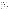laboratory or a laboratory with an appropriate recirculation system as shown in Appendix B [to be included in the final QAPP].

Ten separate solutions of formazin in DI water will be prepared in individual 10 liter (L) containers using formazin or SDVB primary stock solution(s) purchased from a commercial supplier. These formazin or SDVB stock solution(s) will be diluted to the appropriate concentration in DI water. A high nephelometric turbidity unit (NTU) and a low NTU fortified DI water sample will be prepared and evaluated on each turbidimeter during offline analysis. Concentrations to be tested will be approximately 100 'milli' (1/1,000 units) nephelometric turbidity units (NTU). Milli-NTU will be expressed as mNTU, or simply 'low' NTU. In contrast, a concentration of 800 mNTU will be set as the 'high' NTU. Ten replicates of each fortified DI water sample (low NTU and high NTU) will be tested simultaneously on both the technology being verified and a reference turbidimeter . Because online turbidimeters require that a continuous flow be maintained for proper operation, a sample recirculation system will be used to introduce the fortified samples to the turbidimeters.

#### **B1.2.1 Recirculating Test System for Offline testing**

The recirculation system used for this verification test will be designed and built at Battelle or the selected laboratory or location used for offline analysis. Any laboratory or location used for offline analysis will need to be able to supply and build a sufficient recirculation system. The selected location of offline testing will be defined in the final QAPP. The recirculation system will be designed and built to minimize the number of flow obstructions and potential sources of turbulence. Any valves used in the recirculation system will be either two or three way, full bore, ball valves. The recirculation pump will be a standard centrifugal pump and will have sufficient flow and pressure capabilities to meet the requirements of all the turbidimeters being verified. A flow meter will be installed downstream of each turbidimeter, and if needed, a pressure gauge will be installed downstream of the turbidimeters. In general, the tubing will be a flexible plastic material appropriate for high purity applications, and the diameter will be at least  $\frac{1}{2}$ " to allow adequate flow for all the turbidimeters. Similarly, most connections will be made using hard plastic compression fittings, although in some cases, tubing of smaller diameter or different material, or other fittings may be used for certain portions of the system. Each turbidimeter will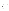be installed per the recommendations of the respective vendor. Before the test, the recirculation system will be checked by laboratory staff to ensure system integrity, including proper flow through the system, and adequate pumping capacity for recirculation. The flow rate requirements will be defined in the final QAPP.

#### **B1.2.2 Detailed Procedure for Offline Testing**

The turbidimeters will operate in parallel from the same source, not in series so that the turbidimeter(s) being verified and the EPA-approved Method 180.1 compliant reference turbidimeter are testing the same solution simultaneously. Fortified samples will be prepared as described in Section B1.2. Each test solution will be introduced individually to each turbidimeter at approximately the same flow rate  $(\pm 10\%)$ . Flow meters will be used to monitor the flow rates of the circulation system. Testing will proceed according to the following steps:

- 1. Unspiked DI water will be pumped to each of the turbidimeters.
- 2. Once continuous flow is established through each of the turbidimeters and the readings have stabilized, a reading will be recorded from each turbidimeter onto datasheets. This reading will represent the baseline turbidity before the formazin or SDVB spike solution is added.
- 3. A formazin or SDVB stock solution will be added to the recirculation system at the desired concentration (low NTU or high NTU) .
- 4. The fortified water will be pumped to each of the turbidimeters. Once the turbidimeter readings have stabilized, a reading will be recorded from each turbidimeter onto datasheets. This reading will represent the measured turbidity after the formazin or SDVB spike.
- 5. Readings will not be recorded from either turbidimeter before or after the spike until both turbidimeter readings have stabilized. Stable is defined as changes in instrument readouts of  $< 10\%$  for 5 minutes.
- 6. Once a fortified replicate sample has been measured, both turbidimeters will be flushed clean using a container filled with clean, unspiked DI water.
- 7. As part of the flushing procedure, the turbidimeter sample chamber will be emptied at least 4 times to ensure that no residual fortified sample remains. Flush is sufficient when the readings for each unit return to within 5% of background (DI only) levels.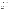- 8. After both turbidimeters have been flushed clean, another replicate sample will be introduced to both turbidimeters following the same procedure previously described (Steps  $3-6$ ).
- 9. Ten replicates of each standard concentration level will be evaluated by the turbidimeters.

 Results from the turbidimeters being evaluated will be recorded by the operator on data sheets supplied by Battelle or automatically by any data-logging system supplied with the turbidimeter or used by the participating water utilities.

#### **B1.3 Data Completeness**

No additional test procedures will be carried out specifically to address data completeness. This parameter will be assessed based on the overall data return achieved by each technology (Section B.1.5.3).

#### **B1.4 Operational and Sustainability Factors**

Operational and sustainability factors such as waste generated, maintenance needs, calibration frequency, data output, consumables used, power requirements, hazardous components, ease of use, repair requirements, and sample throughput will be evaluated based on operator observations. Battelle testing staff and testing staff from any participating utilities will document observations in a LRB or data sheets. Examples of information to be recorded include the daily status of diagnostic indicators for the technology, use or replacement of any consumables, the duration and causes of any technology down time or data acquisition failure, operator observations about technology startup, ease of use, clarity of the vendor's instruction manual, user-friendliness of any needed software, overall convenience of the technologies and accessories/consumables, or the number of samples that could be processed per hour or per day. Battelle will summarize these observations to aid in describing the technology performance in the verification report on each technology.

#### **B1.5 Statistical Evaluation**

The statistical methods and calculations used for evaluation of the quantitative performance parameters are described in the following sections.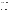#### *B1.5.1 Accuracy*

For offline testing, the relative accuracy of the results of the turbidimeter undergoing verification with respect to the Method 180.1 compliant turbidimeter results will be assessed. Relative accuracy will be determined for the standard formazin or SDVB solution using a percent error calculation, where the absolute difference between the average reference turbidimeter results and average turbidimeter undergoing verification results is divided by the average reference turbidimeter results. Accuracy results will be evaluated in regard to any criteria defined by EPA as part of the verification test to determine the turbidimeters acceptance against Method 180.1.

Relative Percent Error  $=\frac{|Average Reference\,Turbidimeter\,Results-Average\,Technology\,Results|}{Average\,Reference\,Turbidimeter\,Results\,est}$  (1)

The purpose of the online portion of the test will not be to determine if the Method 180.1 compliant reference turbidimeter and the turbidimeter undergoing verification provide the same turbidity readings at each interval, but to determine if the turbidimeter undergoing verification is tracking the same changes that the reference turbidimeter is reporting across the measurement period. Therefore, for the ground and surface water data from the public utilities, accuracy will be assessed by plotting the raw data for both turbidimeters on the same graph to determine how well the measurements track each other. Averages and standard deviations of the data for each turbidimeter will be reported. Based on calculations performed in the Hach FT660 protocol<sup>5</sup>, comparisons between the reference turbidimeter and turbidimeter undergoing verification will be conducted using non-parametric tests as appropriate.

#### *B1.5.2 Precision*

Precision will be evaluated using the replicate results for the fortified DI water samples. Precision will be reported in terms of the percent relative standard deviation (%RSD) of a group of measurement replicates. Readings from the spiked replicate samples will be blank (i.e., background)-corrected using the initial, before-spike measurements made on each replicate. The average, standard deviation, and %RSD will be calculated using these blank-corrected values for each turbidimeter at each spike level. Equations 2 and 3 will be used to calculate precision: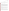$$
S = \left[\frac{1}{n-1} \sum_{k=1}^{n} \left(M_k - \overline{M}\right)^2\right]^{1/2}
$$
 (2)

where S is the standard deviation, n is the number of replicate samples,  $M_k$  is the technology measurement for the  $k^{\text{th}}$  sample, and *M* is the average technology measurement of the replicate samples.

$$
RSD(\% ) = \left| \frac{S}{M} \right| \times 100 \tag{3}
$$

#### *B1.5.3 Data Completeness*

Data completeness will be assessed based on the overall data return achieved by the technology during the testing period. For each technology, this calculation will use the total number of apparently valid data points divided by the total number of data points potentially available from all testing. The causes of any incompleteness of data return will be established from operator observations, and noted in the discussion of data completeness results. The goal for data completeness is 100%. Any problems with the data will be brought to the attention of the VTC. The VTC will first work with the vendor to resolve any data issues. Data issues which remain will be discussed with the Battelle QM and AMS Center Manager, and EPA Project Officer and QM, as necessary.

#### **B1.6 Reporting**

The statistical comparisons described above will be conducted separately for each technology, and information on the operational performance will be compiled and reported. One verification report and one verification statement will be prepared for each technology. The verification report will present the test procedures and test data, as well as the results of the statistical evaluation of those data.

Operational aspects of the technologies will be recorded by testing staff during and immediately following testing and will be summarized in the verification report. For example, descriptions of the data acquisition procedures, use of vendor-supplied proprietary software, consumables used, repairs and maintenance needed, and the nature of any problems will be presented in the report.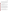The verification report will briefly describe the ETV program, the AMS Center, and the procedures used in verification testing. The results of the verification tests regarding technology performance will be stated quantitatively. The draft verification report will be reviewed by the vendor, EPA, and other peer reviewers. The resulting review comments will be addressed in a subsequent revision of the report, and the peer review comments and responses will be tabulated to document the peer review process and submitted to EPA. The reporting and review process will be conducted according to the requirements of the ETV/AMS Center QMP.<sup>1</sup>

#### <span id="page-31-0"></span>**B2 SAMPLING METHOD REQUIREMENTS**

No discrete grab samples will be collected for this test and therefore the use of traditional sample collection and handling methods are not applicable. All samples generated and analyzed for this test will be in situ samples and tested by in-line technologies. Water effluent will be tested as-is from each participating water utility.

Formazin or SDVB solutions, standards for use as calibration standards for the reference turbidimeters, and the material used for the performance evaluation audit (PEA) will be purchased from a commercial supplier (i.e., Hach Company, Loveland, CO). When available, stock solutions of the correct turbidity needed for calibration will be purchased. When not available, the standard solution will be prepared through the dilution of a purchased formazin or SDVB solution using distilled, deionized water. Preparation of diluted standard solutions will be performed within 24 hours of their use and stored at  $25\pm3^{\circ}C$ . For long term storage, the purchased standards will be stored as recommended by the vendor. Excess and waste solutions will be disposed of in accordance with the site procedures. When not in use, the glassware used for preparation and storage of these solutions will be kept scrupulously clean.

#### <span id="page-31-1"></span>**B3 SAMPLE HANDLING AND CUSTODY REQUIREMENTS**

No discrete grab samples will be collected for this test and therefore the use of traditional sample handling and custody procedures are not applicable. All solutions used in offline testing will be prepared at Battelle. The receipt of standards used for testing will be documented.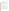#### <span id="page-32-0"></span>**B4 ANALYTICAL METHOD REQUIREMENTS**

ANPA Method 180.1-compliant online turbidimeter will be used as the reference technology for this verification test. If not available otherwise, this turbidimeter will be rented for testing and operated by Battelle (or other laboratory) for the offline tests and will be supplied and operated by the participating water utilities for the online testing. Testing using the reference turbidimeter will follow manufacturer's recommendations and EPA Method 180.1. Once the specific turbidimeter(s) is identified, detailed operational requirements will be defined in the final QAPP.

Appropriate data logging instruments will be used during offline testing to record results from the reference turbidimeter. Results will be recorded by the individual water utilities and supplied to Battelle for the online testing.

#### <span id="page-32-1"></span>**B5 QUALITY CONTROL REQUIREMENTS**

Quality control procedures will follow the requirements described in this protocol, the final QAPP, EPA Method 180.1, the ETV QMP<sup>2</sup>, and any vendor specified requirements for analysis using their turbidimeters. All standard values and equipment calibrations for these technologies will be documented in the study records. DQIs are defined in Table 2. Potential QC samples and measurement quality objectives (MQOs) are defined in Table 5.

<span id="page-32-2"></span>**B6 INSTRUMENT/ EQUIPMENT TESTING, INSPECTION, AND MAINTENANCE** 

Battelle staff will operate and maintain the turbidimeters as directed by the vendor during staff training and as noted in the technology operating manuals. The vendor will be consulted if issues with the technologies arise. The reference turbidimeter will be operated and maintained per the manufacturer's instructions or applicable testing facility SOPs by Battelle and the water utility staff. Critical measurements and MQOs related to operating the turbidimeters are included in Table 4.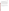#### <span id="page-33-0"></span>**B7 INSTRUMENT CALIBRATION AND FREQUENCY**

Each reference turbidimeter used in testing will be calibrated before any testing begins in accordance with the procedures described in the manufacturer's instrument manual to ensure that the instrument is working properly. The calibration will be verified daily using a check standard in the mid-range of the initial calibration prior to testing. Calibration standards must bracket the NTU range being tested. Standard solutions necessary for calibration of the reference turbidimeter will be purchased from a commercial vendor. When available, the standards used in the calibration, or calibration check, will be purchased with the appropriate turbidity value for direct evaluation. Otherwise, the standard solution will be prepared through subsequent dilution of stock formazin or SDVB solution with DI water using Class A volumetric glassware.

Calibration for each participating technology will be performed according to the vendor's instructions.

Each flow meter will be factory calibrated and will be checked once during the verification test by measuring the time required to pass a known volume of liquid through the individual meters for a specific time period. If the calibration check indicates an error in excess of 10%, the meter will be recalibrated, when feasible, or replaced.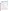|                                                                        | <b>Method of</b>                                                                                        |                                                                                | <b>Measurement Quality</b>                                                                                         | <b>Corrective</b>                                                               |
|------------------------------------------------------------------------|---------------------------------------------------------------------------------------------------------|--------------------------------------------------------------------------------|--------------------------------------------------------------------------------------------------------------------|---------------------------------------------------------------------------------|
| <b>Test</b><br>Reference<br>turbidimeter<br>calibration (if<br>needed) | <b>Assessment</b><br><b>Initial Calibration</b><br>Linearity test or<br>as specified by<br>manufacturer | <b>Frequency</b><br>Initially prior to<br>testing                              | Objective (MQO)<br>0.90 <slope<1.10, <math="">r^2&lt;0.98<br/>Ωr<br/>Per manufacturer's instructions</slope<1.10,> | <b>Action</b><br>Recalibrate                                                    |
| Reference<br>turbidimeter<br>calibration<br>check <sup>1</sup>         | Formazin or<br><b>SDVB</b> check<br>standard                                                            | Daily prior to<br>use                                                          | ±10%                                                                                                               | Recalibrate;<br>repeat<br>measurements if<br>calibration not<br>met after tests |
| Reference<br>turbidimeter<br>Reagent<br><b>Blank</b>                   | Deionized water                                                                                         | Prior to each<br>test and<br>between<br>offline<br>replicate test<br>solutions | $\leq$ 5 times the reference<br>turbidimeter detection limit <sup>2</sup>                                          | Continue<br>flushing<br>Replace<br>deionized water                              |
| Reference<br>turbidimeter<br>Quality<br>Control<br>Sample              | AMCO-AEPA-1<br>standard solution<br>or independent<br>formazin or<br><b>SDVB</b> solution               | Once prior and<br>quarterly                                                    | +10% of stated value                                                                                               | Performance<br>maintenance, re-<br>calibrate, and<br>repeat<br>measurement      |
| Tested<br>turbidimeter                                                 | Per vendor                                                                                              | Once or per<br>vendor's<br>instructions                                        | Per vendor                                                                                                         | Recalibrate                                                                     |
| Reagent<br><b>Blank</b>                                                | Deionized water                                                                                         | Prior to each<br>test and<br>between<br>offline<br>replicate test<br>solutions | $± 5%$ of initial DI water reading                                                                                 | Continue<br>flushing<br>Replace<br>deionized water                              |

#### <span id="page-34-1"></span>**Table 4. Acceptance Criteria for Quality Control Samples and Turbidimeter Calibration**

<sup>1</sup>This check confirms the DQI listed in Table 2.

 $2$ To be determined once the reference turbidimeter model is identified.

#### <span id="page-34-0"></span>**B8 INSPECTION/ACCEPTANCE OF SUPPLIES AND CONSUMABLES**

Upon receipt of any supplies or consumables used for testing, Battelle will visually inspect and ensure that the materials received are those that were ordered and that there are no visual signs of damage that could compromise the suitability of the materials. If damaged or inappropriate goods are received they will be returned or disposed of and arrangements will be made to receive replacement materials. COA or other documentation provided with all reagents and standards will be checked to ensure suitability for these verification tests. Unsuitable materials will be returned or disposed of and arrangements for the receipt of replacement materials will be made.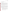#### <span id="page-35-0"></span>**B9 NON-DIRECT MEASUREMENTS**

<span id="page-35-1"></span>Non-direct measurements will not be used during these verification tests.

#### **B10 DATA MANAGEMENT**

Various types of data will be acquired and recorded electronically or manually by Battelle staff and staff from participating utilities during these verification tests. All manually-recorded data, such as solution preparation records and results from supporting analyses, will be recorded according to Section B10. Table 5 summarizes the types of data to be recorded. All maintenance activities, repairs, calibrations, and operator observations relevant to the operation of the monitoring systems being tested will be documented by Battelle staff or staff from participating utilities in an LRB or on data sheets. Report formats will include all necessary data to allow traceability from the raw data to final results.

Records received by or generated by any Battelle staff or staff from participating utilities during testing will be reviewed by a Battelle staff member within five days of receipt or generation, respectively, before the records are used to calculate, evaluate, or report verification results. If a Battelle staff member generated the record, this review will be performed by a Battelle technical staff member involved in the verification test, but not the staff member who originally received or generated the record. The review will be documented by the person performing the review by adding his/her initials and date to the hard copy of the record being reviewed. Some of the checks that will be performed include:

- QC samples and calibration standards were analyzed according to the QAPP and the acceptance criteria were met. Corrective action for exceedances was taken,
- 100% hand-entered and/or manually calculated data were checked for accuracy,
- Calculations performed by software are verified at a frequency sufficient to ensure that the formulas are correct, appropriate, and consistent,
- For each cut and paste function, the first and last data value was verified vs. the source data,
- Data are reported in the units specified in the QAPP, and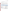• Results of QC samples are reported.

Calculations to be checked include any statistical and concentration calculations described in the QAPP. A dedicated shared folder within the ETV AMS Center SharePoint site will be established for all project records.

Battelle will provide technology test data (including records, data sheets, and notebook records) from the first day of testing within five days of generation to EPA for simultaneous review. Thereafter, the data will be provided to EPA every two weeks. The goal of this data delivery schedule is prompt identification and resolution of any data collection or recording issues. These data will be labeled as preliminary and may not have had a QA review before their release.

| Data to Be Recorded                                                                                                           | <b>Where</b><br><b>Recorded</b> | <b>How Often</b><br><b>Recorded</b>                  | <b>By Whom</b>                                                               | <b>Disposition of Data</b>                                                                                  |
|-------------------------------------------------------------------------------------------------------------------------------|---------------------------------|------------------------------------------------------|------------------------------------------------------------------------------|-------------------------------------------------------------------------------------------------------------|
| Dates and details of<br>test events                                                                                           | ETV LRBs or<br>data forms       | Start/end of<br>test event                           | Battelle staff<br>Staff from<br>participating<br>utilities                   | Used to<br>organize/check test<br>results; manually<br>incorporated in data<br>spreadsheets as<br>necessary |
| Technology<br>operator/analyst, data<br>collection and analysis<br>dates, sample volume<br>and/or time, sample<br>description | ETV LRBs or<br>electronically   | When<br>performed                                    | Battelle staff<br>Staff from<br>participating<br>utilities<br>Battelle staff | Incorporated in<br>verification report as<br>necessary                                                      |
| Technology and<br>reference test<br>calibration information,<br>reagent and test<br>solution information,                     | ETV LRBs or<br>electronically   | When<br>performed                                    | Battelle staff<br>Staff from<br>participating<br>utilities<br>Battelle staff | Incorporated in<br>verification report as<br>necessary                                                      |
| Turbidimeter readings                                                                                                         | ETV LRBs or<br>electronically   | Each<br>measurement<br>initiated by<br>testing staff | Battelle staff<br>Staff from<br>participating<br>utilities<br>Battelle staff | Converted to<br>spreadsheet for<br>statistical analysis<br>and comparisons                                  |

<span id="page-36-0"></span>

|  |  |  | <b>Table 5. Summary of Data Recording Process</b> |  |
|--|--|--|---------------------------------------------------|--|
|--|--|--|---------------------------------------------------|--|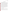#### **SECTION C**

#### **ASSESSMENT AND OVERSIGHT**

#### <span id="page-37-1"></span><span id="page-37-0"></span>**C1 ASSESSMENTS AND RESPONSE ACTIONS**

Every effort will be made in these verification tests to anticipate and resolve potential problems before the quality of performance is compromised. One of the major objectives of the QAPP is to establish mechanisms necessary to ensure this. Internal quality control measures described in the final QAPP, which is peer reviewed by a panel of outside experts, implemented by the technical staff and monitored by the VTC, will give information on data quality on a day-to-day basis. The responsibility for interpreting the results of these checks and resolving any potential problems resides with the VTC, who will contact the Battelle AMS Center Manager, Battelle AMS Center QM, EPA AMS Center Project Officer, and EPA AMS Center QM if any deviations from the QAPP are observed. The VTC will describe the deviation in a teleconference or by email, and once a path forward is determined and agreed upon with EPA, the deviation form will be completed. Technical staff have the responsibility to identify problems that could affect data quality or the ability to use the data. Any problems that are identified will be reported to the VTC. Technical staff and the VTC will work with the Battelle QM to resolve any issues. Action will be taken by the VTC and Battelle testing staff to identify and appropriately address the issue, and minimize losses and correct data, where possible. Independent of any EPA QA activities, Battelle will be responsible for ensuring that the following audits are conducted as part of these verification tests.

#### **C1.1 Performance Evaluation Audit**

A PEA will be conducted to verify the accuracy of reference turbidimeter readings which will be the basis of determining technology accuracy. A separate PEA will be conducted for each reference turbidimeter used in testing.

The PEA sample will be analyzed after routine maintenance and calibration of the reference turbidimeters by analyzing a standard formazin or SDVB solution and comparing the results to a reference that is independent of standards used during the test (i.e., AMCO-AEPA-1 standard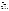solution). Agreement between the formazin or SDVB solution turbidity readings and AMCO-AEPA-1 must be within 10% for each reference turbidimeter. If this criterion is not met, the reference turbidimeter must be recalibrated.

#### **C1.2 Technical Systems Audits**

The Battelle QM or designee will perform a TSA at Battelle during offline testing and at one participating utility during online testing. The purpose of these audits is to ensure that the verification tests are being performed in accordance with the AMS Center  $QMP<sup>1</sup>$  and the QAPP. The Battelle QM will compare actual test procedures to those specified or referenced in this plan, and review data acquisition and handling procedures. The Battelle QM or designee will prepare a project-specific checklist based on the QAPP requirements to guide the TSA, which will include a review of the test location and general testing conditions; observe the testing activities; and review test documentation. The Battelle QM will also check data acquisition procedures, and confer with testing staff. The Battelle QM will prepare an initial TSA report and will submit the report to the EPA QA Manager (with no corrective actions documented) and VTC within 10 business days after completion of the audit. A copy of each final TSA report (with corrective actions documented) will be provided to the EPA AMS Center Project Officer and QM within 20 business days after completion of the audit. At EPA's discretion, EPA QA staff may also conduct an independent on-site TSA during the verification tests. The TSA findings will be communicated to technical staff at the time of the audit and documented in the TSA reports.

#### **C1.3 Data Quality Audits**

As an EPA QA Category III test, the Battelle QM, or designee, will audit at least 10% of the sample results data acquired in the verification tests and 100% of the calibration and QC data versus the QAPP requirements. Two Audits of Data Quality (ADQs) will be conducted for this project: Data collected on the first day of testing for each technology will be audited within 10 business days of receipt and assessed using a project-specific checklist. The remaining data will be audited at the conclusion of testing and will be completed within 10 business days of receipt of all test data. During these audits, the Battelle QM, or designee, will trace the data from initial acquisition (as received from the vendor's technology), through reduction and statistical comparisons, to final reporting. All calculations performed on the data undergoing the ADQ will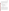be checked. Data must undergo a 100% validation and verification by technical staff (i.e., VTC or designee) before it is assessed as part of the ADQ. All QC data and all calculations performed on the data undergoing the audit will be checked by the Battelle QM or designee. Results of each ADQ will be documented using the checklist and reported to the VTC and EPA within 10 business days after completion of the audit. A final ADQ that assesses overall data quality, including accuracy and completeness of the technical report, will be prepared as a narrative and distributed to the VTC and EPA within 10 business days of completion of the audit.

#### **C1.4 QA/QC Reporting**

Each assessment and audit will be documented in accordance with Section 3.3.4 of the AMS Center QMP.<sup>1</sup> The results of all audits will be submitted to EPA within 10 business days as noted above. Assessment reports will include the following:

- Identification of Findings and Observations,
- Recommendations for resolving problems,
- Response to adverse findings or potential problems,
- Confirmation that solutions have been implemented and are effective, and
- Citation of any noteworthy practices that may be of use to others.

#### <span id="page-39-0"></span>**C2 REPORTS TO MANAGEMENT**

During the laboratory evaluation, any QAPP deviations will be reported immediately to EPA. The Battelle QM and/or VTC, during the course of any assessment or audit, will identify to the technical staff performing experimental activities any immediate corrective action that should be taken. A summary of the required assessments and audits, including a listing of responsibilities and reporting timeframes, is included in Table 6. If serious quality problems exist, the Battelle QM will notify the AMS Center Manager, who is authorized to stop work. Once the assessment reports have been prepared, the VTC will ensure that a response is provided for each adverse finding or potential problem and will implement any necessary follow-up corrective action. The Battelle QM will ensure that follow-up corrective action has been taken. The QAPP and final report are reviewed by the EPA AMS Center QM and the EPA AMS Center Project Officer.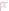Upon final review and approval, both documents will then be posted on the ETV website [\(www.epa.gov/etv\)](http://www.epa.gov/etv).

| <b>Assessment</b>                                                                           | <b>Prepared By</b> | <b>Report Submission</b><br><b>Timeframe</b>                                                                                                                                                                 | <b>Submitted To</b>       |
|---------------------------------------------------------------------------------------------|--------------------|--------------------------------------------------------------------------------------------------------------------------------------------------------------------------------------------------------------|---------------------------|
| Technology<br><b>Offline Testing</b><br><b>TSA</b><br>(within the first<br>week of testing) | <b>Battelle</b>    | 10 business days after TSA is<br>complete <sup>2</sup><br>TSA response is due to QM<br>within 10 business days                                                                                               | <b>EPA ETV AMS Center</b> |
|                                                                                             |                    | TSA responses will be verified<br>by the QM and provided to<br>EPA within 20 business days                                                                                                                   |                           |
| Technology<br><b>Online Testing</b><br><b>TSA</b><br>(within the first<br>week of testing)  | <b>Battelle</b>    | 10 business days after TSA is<br>complete <sup>2</sup><br>TSA response is due to QM<br>within 10 business days<br>TSA responses will be verified<br>by the QM and provided to<br>EPA within 20 business days | <b>EPA ETV AMS Center</b> |
| ADQ (Day 1<br>data)<br>each technology                                                      | <b>Battelle</b>    | ADQ will be completed within<br>10 business days after receipt<br>of first data set                                                                                                                          | <b>EPA ETV AMS Center</b> |
| ADQ (Remaining<br>data and<br>verification<br>report)                                       | <b>Battelle</b>    | ADQ will be completed within<br>10 business days after<br>completion of the verification<br>report review                                                                                                    | <b>EPA ETV AMS Center</b> |

<span id="page-40-0"></span>

| Table 6. Summary of Quality Assessment and Control Reports <sup>1</sup> |  |  |  |  |  |  |  |  |
|-------------------------------------------------------------------------|--|--|--|--|--|--|--|--|
|-------------------------------------------------------------------------|--|--|--|--|--|--|--|--|

 $^1$  Any QA checklists prepared to guide audits will be provided with the audit report.<br><sup>2</sup>A separate TSA report will be prepared for each technology; the report submission timeframe is the same for each.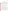#### **SECTION D**

#### **DATA VALIDATION AND USABILITY**

#### <span id="page-41-1"></span><span id="page-41-0"></span>**D1 DATA REVIEW, VERIFICATION, AND VALIDATION REQUIREMENTS**

The key data review and data verification requirements for these tests are stated in Section B10 of this protocol. In general, the data review requirements specify that data generated during these tests will be reviewed by a Battelle technical staff member within five days of generation of the data. The reviewer will be familiar with the technical aspects of the verification test but will not be the person who generated the data. This process will serve both as the data review and the data verification, and will ensure that the data have been recorded, transmitted and processed properly. Furthermore, this process will ensure that the monitoring systems data were collected under appropriate testing.

The data validation requirements for these tests involve an assessment of the quality of the data relative to the DQIs and MQOs for these tests referenced in Tables 2 and 5. Any deficiencies in these data will be flagged and excluded from any statistical comparisons, unless these deviations are accompanied by descriptions of their potential impacts on the data quality.

#### <span id="page-41-2"></span>**D2 VERIFICATION AND VALIDATION METHODS**

Data verification is conducted as part of the data review as described in Section B10 of this protocol. A visual inspection of handwritten data will be conducted to ensure that all entries were properly recorded or transcribed, and that any erroneous entries were properly noted (i.e., single line through the entry, with an error code, such as "wn" for wrong number, and the initials of the recorder and date of entry). Electronic data from technology, if applicable, and any other analytical equipment used during the test will be inspected to ensure proper transfer from the data logging system. All calculations used to transform the data will be reviewed to ensure the accuracy and the appropriateness of the calculations. Calculations performed manually will be reviewed and repeated using a handheld calculator or commercial software (e.g., Excel). Calculations performed using standard commercial office software (e.g., Excel) will be reviewed by inspection of the equations used for the calculations and verification of selected calculations by handheld calculator. Calculations performed using specialized commercial software (i.e., for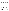analytical instrumentation) will be reviewed by inspection and, when feasible, verified by handheld calculator, or standard commercial office software.

To ensure that the data generated from these tests meet the goals of the tests, a number of data validation procedures will be performed. Sections B and C of this protocol provide a description of the validation safeguards employed for these verification tests. Data validation efforts include the completion of QC activities, and the performance of two TSA audits as described in Section C. The data from these tests will be evaluated relative to the MQOs described in Sections A and B of this protocol. Data failing to meet these criteria will be flagged in the data set and not used for evaluation of the technology, unless these deviations are accompanied by descriptions of their potential impacts on the data quality.

An ADQ will be conducted by the Battelle QM to ensure that data review, verification, and validation procedures were completed, and to assure the overall quality of the data.

#### <span id="page-42-0"></span>**D3 RECONCILIATION WITH USER REQUIREMENTS**

This purpose of these verification tests is to verify the performance of turbidimeters compared to an online turbidimeter which is compliant with EPA Method 180.1. To meet the requirements of the user community, input on the tests described in the final QAPP will be provided by external experts. Additional performance data regarding operational characteristics of the evaluated turbidimeters will be collected by verification test personnel. To meet the requirements of the user community, these data will include thorough documentation of the performance of the technologies during the verification tests. The data review, verification, and validation procedures described above will assure that data meeting these requirements are accurately presented in the verification reports generated from this test, and will assure that data not meeting these requirements will be appropriately flagged and discussed in the verification reports.

This protocol and the resulting ETV verification report will be reviewed by the vendor, EPA, and expert peer reviewers. The reviews of the QAPP will help to improve the design of the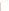verification tests and the resulting report such that they better meet the needs of potential users of these technologies.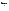### **SECTION E**

#### **REFERENCES**

- <span id="page-44-0"></span>1. Battelle, Quality Management Plan for the ETV Advanced Monitoring Systems Center, Version 8.0, U.S. EPA Environmental Technology Verification Program, prepared by Battelle, Columbus, Ohio, April 2011.
- 2. U.S. EPA, Environmental Technology Verification Program Quality Management Plan, EPA Report No: 600/R-08/009 EPA/600/R-03/021, U.S. Environmental Protection Agency, Cincinnati, Ohio, January 2008.
- 3. "Test/QA Plan for Verification of Online Turbidimeters," U.S. Environmental Protection Agency Environmental Technology Verification Program, prepared by Battelle, Columbus, OH, June 1999.
- 4. EPA Method 180.1 Turbidity (Nephelometric), Methods for the Determination of Inorganic Substances in Environmental Samples EPA-600-R-93-100. 1993.
- 5. Method Validation Study Plan, Hach Method 10133, Determination of Turbidity by Laser Nephelometry Revision 2, as part of the DynCorp Memorandum (Subject: D99-0002:Hach Filter Trak Turbidity Method 10133), Hach Company, January 10, 2000.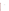### **APPENDIX A**

**EPA Method 180.1**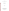#### **METHOD 180.1**

#### **DETERMINATION OF TURBIDITY BY NEPHELOMETRY**

Edited by James W. O'Dell Inorganic Chemistry Branch Chemistry Research Division

> **Revision 2.0 August 1993**

**ENVIRONMENTAL MONITORING SYSTEMS LABORATORY OFFICE OF RESEARCH AND DEVELOPMENT U.S. ENVIRONMENTAL PROTECTION AGENCY CINCINNATI, OHIO 45268**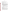#### **METHOD 180.1**

#### **DETERMINATION OF TURBIDITY BY NEPHELOMETRY**

#### **1.0 SCOPE AND APPLICATION**

- 1.1 This method covers the determination of turbidity in drinking, ground, surface, and saline waters, domestic and industrial wastes.
- 1.2 The applicable range is 0-40 nephelometric turbidity units (NTU). Higher values may be obtained with dilution of the sample.

#### **2.0 SUMMARY OF METHOD**

- 2.1 The method is based upon a comparison of the intensity of light scattered by the sample under defined conditions with the intensity of light scattered by a standard reference suspension. The higher the intensity of scattered light, the higher the turbidity. Readings, in NTU's, are made in a nephelometer designed according to specifications given in Sections 6.1 and 6.2. A primary standard suspension is used to calibrate the instrument. A secondary standard suspension is used as a daily calibration check and is monitored periodically for deterioration using one of the primary standards.
	- 2.1.1 Formazin polymer is used as a primary turbidity suspension for water because it is more reproducible than other types of standards previously used for turbidity analysis.
	- 2.1.2 A commercially available polymer primary standard is also approved for use for the National Interim Primary Drinking Water Regulations. This standard is identified as AMCO-AEPA-1, available from Advanced Polymer Systems.

#### **3.0 DEFINITIONS**

- 3.1 **Calibration Blank (CB)** -- A volume of reagent water fortified with the same matrix as the calibration standards, but without the analytes, internal standards, or surrogates analytes.
- 3.2 **Instrument Performance Check Solution (IPC)** -- A solution of one or more method analytes, surrogates, internal standards, or other test substances used to evaluate the performance of the instrument system with respect to a defined set of criteria.
- 3.3 **Laboratory Reagent Blank (LRB)** -- An aliquot of reagent water or other blank matrices that are treated exactly as a sample including exposure to all glassware, equipment, solvents, reagents, internal standards, and surrogates that are used with other samples. The LRB is used to determine if method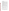US EPA ARCHIVE DOCUMENT

analytes or other interferences are present in the laboratory environment, the reagents, or the apparatus.

- 3.4 **Linear Calibration Range (LCR)** -- The concentration range over which the instrument response is linear.
- 3.5 **Material Safety Data Sheet (MSDS)** -- Written information provided by vendors concerning a chemical's toxicity, health hazards, physical properties, fire, and reactivity data including storage, spill, and handling precautions.
- 3.6 **Primary Calibration Standard (PCAL)** -- A suspension prepared from the primary dilution stock standard suspension. The PCAL suspensions are used to calibrate the instrument response with respect to analyte concentration.
- 3.7 **Quality Control Sample (QCS)** -- A solution of the method analyte of known concentrations that is used to fortify an aliquot of LRB matrix. The QCS is obtained from a source external to the laboratory, and is used to check laboratory performance.
- 3.8 **Secondary Calibration Standards (SCAL)** -- Commercially prepared, stabilized sealed liquid or gel turbidity standards calibrated against properly prepared and diluted formazin or styrene divinylbenzene polymers.
- 3.9 **Stock Standard Suspension (SSS)** -- A concentrated suspension containing the analyte prepared in the laboratory using assayed reference materials or purchased from a reputable commercial source. Stock standard suspension is used to prepare calibration suspensions and other needed suspensions.

#### **4.0 INTERFERENCES**

- 4.1 The presence of floating debris and coarse sediments which settle out rapidly will give low readings. Finely divided air bubbles can cause high readings.
- 4.2 The presence of true color, that is the color of water which is due to dissolved substances that absorb light, will cause turbidities to be low, although this effect is generally not significant with drinking waters.
- 4.3 Light absorbing materials such as activated carbon in significant concentrations can cause low readings.

#### **5.0 SAFETY**

- 5.1 The toxicity or carcinogenicity of each reagent used in this method has not been fully established. Each chemical should be regarded as a potential health hazard and exposure should be as low as reasonably achievable.
- 5.2 Each laboratory is responsible for maintaining a current awareness file of OSHA regulations regarding the safe handling of the chemicals specified in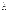this method. A reference file of Material Safety Data Sheets (MSDS) should be made available to all personnel involved in the chemical analysis. The preparation of a formal safety plan is also advisable.

5.3 Hydrazine Sulfate (Section 7.2.1) is a carcinogen. It is highly toxic and may be fatal if inhaled, swallowed, or absorbed through the skin. Formazin can contain residual hydrazine sulfate. Proper protection should be employed.

#### **6.0 EQUIPMENT AND SUPPLIES**

- 6.1 The turbidimeter shall consist of a nephelometer, with light source for illuminating the sample, and one or more photo-electric detectors with a readout device to indicate the intensity of light scattered at right angles to the path of the incident light. The turbidimeter should be designed so that little stray light reaches the detector in the absence of turbidity and should be free from significant drift after a short warm-up period.
- 6.2 Differences in physical design of turbidimeters will cause differences in measured values for turbidity, even though the same suspension is used for calibration. To minimize such differences, the following design criteria should be observed:
	- 6.2.1 Light source: Tungsten lamp operated at a color temperature between 2200-3000°K.
	- 6.2.2 Distance traversed by incident light and scattered light within the sample tube: Total not to exceed 10 cm.
	- 6.2.3 Detector: Centered at 90° to the incident light path and not to exceed  $\pm 30^{\circ}$  from 90°. The detector, and filter system if used, shall have a spectral peak response between 400 nm and 600 nm.
- 6.3 The sensitivity of the instrument should permit detection of a turbidity difference of 0.02 NTU or less in waters having turbidities less than 1 unit. The instrument should measure from 0-40 units turbidity. Several ranges may be necessary to obtain both adequate coverage and sufficient sensitivity for low turbidities.
- 6.4 The sample tubes to be used with the available instrument must be of clear, colorless glass or plastic. They should be kept scrupulously clean, both inside and out, and discarded when they become scratched or etched. A light coating of silicon oil may be used to mask minor imperfections in glass tubes. They must not be handled at all where the light strikes them, but should be provided with sufficient extra length, or with a protective case, so that they may be handled. Tubes should be checked, indexed and read at the orientation that produces the lowest background blank value.
- 6.5 Balance -- Analytical, capable of accurately weighing to the nearest 0.0001 g.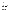6.6 Glassware -- Class A volumetric flasks and pipets as required.

#### **7.0 REAGENTS AND STANDARDS**

- 7.1 Reagent water, turbidity-free: Pass deionized distilled water through a  $0.45\mu$ pore size membrane filter, if such filtered water shows a lower turbidity than unfiltered distilled water.
- 7.2 Stock standard suspension (Formazin):
	- 7.2.1 Dissolve 1.00 g hydrazine sulfate,  $(NH_2)_2$ ,  $H_2SO_4$  (CASRN 10034-93-2) in reagent water and dilute to 100 mL in a volumetric flask. **CAUTION**- carcinogen.
	- 7.2.2 Dissolve 10.00 g hexamethylenetetramine (CASRN 100-97-0) in reagent water and dilute to 100 mL in a volumetric flask. In a 100 mL volumetric flask, mix 5.0 mL of each solution (Sections 7.2.1 and 7.2.2). Allow to stand 24 hours at 25  $\pm 3^{\circ}$ C, then dilute to the mark with reagent water.
- 7.3 Primary calibration standards: Mix and dilute 10.00 mL of stock standard suspension (Section 7.2) to 100 mL with reagent water. The turbidity of this suspension is defined as 40 NTU. For other values, mix and dilute portions of this suspension as required.
	- 7.3.1 A new stock standard suspension (Section 7.2) should be prepared each month. Primary calibration standards (Section 7.3) should be prepared daily by dilution of the stock standard suspension.
- 7.4 Formazin in commercially prepared primary concentrated stock standard suspension (SSS) may be diluted and used as required. Dilute turbidity standards should be prepared daily.
- 7.5 AMCO-AEPA-1 Styrene Divinylbenzene polymer primary standards are available for specific instruments and require no preparation or dilution prior to use.
- 7.6 Secondary standards may be acceptable as a daily calibration check, but must be monitored on a routine basis for deterioration and replaced as required.

#### **8.0 SAMPLE COLLECTION, PRESERVATION AND STORAGE**

- 8.1 Samples should be collected in plastic or glass bottles. All bottles must be thoroughly cleaned and rinsed with turbidity free water. Volume collected should be sufficient to insure a representative sample, allow for replicate analysis (if required), and minimize waste disposal.
- 8.2 No chemical preservation is required. Cool sample to 4°C.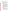8.3 Samples should be analyzed as soon as possible after collection. If storage is required, samples maintained at 4°C may be held for up to 48 hours.

#### **9.0 QUALITY CONTROL**

9.1 Each laboratory using this method is required to operate a formal quality control (QC) program. The minimum requirements of this program consist of an initial demonstration of laboratory capability and analysis of laboratory reagent blanks and other solutions as a continuing check on performance. The laboratory is required to maintain performance records that define the quality of data generated.

#### 9.2 INITIAL DEMONSTRATION OF PERFORMANCE.

- 9.2.1 The initial demonstration of performance is used to characterize instrument performance (determination of LCRs and analysis of QCS).
- 9.2.2 Linear Calibration Range (LCR) -- The LCR must be determined initially and verified every six months or whenever a significant change in instrument response is observed or expected. The initial demonstration of linearity must use sufficient standards to insure that the resulting curve is linear. The verification of linearity must use a minimum of a blank and three standards. If any verification data exceeds the initial values by  $\pm 10\%$ , linearity must be reestablished. If any portion of the range is shown to be nonlinear, sufficient standards must be used to clearly define the nonlinear portion.
- 9.2.3 Quality Control Sample (QCS) -- When beginning the use of this method, on a quarterly basis or as required to meet data-quality needs, verify the calibration standards and acceptable instrument performance with the preparation and analysis of a QCS. If the determined concentrations are not within  $\pm 10\%$  of the stated values, performance of the determinative step of the method is unacceptable. The source of the problem must be identified and corrected before continuing with on-going analyses.

#### 9.3 ASSESSING LABORATORY PERFORMANCE

- 9.3.1 Laboratory Reagent Blank (LRB) -- The laboratory must analyze at least one LRB with each batch of samples. Data produced are used to assess contamination from the laboratory environment.
- 9.3.2 Instrument Performance Check Solution (IPC) -- For all determinations, the laboratory must analyze the IPC (a mid-range check standard) and a calibration blank immediately following daily calibration, after every tenth sample (or more frequently, if required) and at the end of the sample run. Analysis of the IPC solution and calibration blank immediately following calibration must verify that the instrument is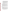within ±10% of calibration. Subsequent analyses of the IPC solution must verify the calibration is still within  $\pm 10\%$ . If the calibration cannot be verified within the specified limits, reanalyze the IPC solution. If the second analysis of the IPC solution confirms calibration to be outside the limits, sample analysis must be discontinued, the cause determined and/or in the case of drift the instrument recalibrated. All samples following the last acceptable IPC solution must be reanalyzed. The analysis data of the calibration blank and IPC solution must be kept on file with the sample analyses data. NOTE: Secondary calibration standards (SS) may also be used as the IPC.

9.3.3 Where additional reference materials such as Performance Evaluation samples are available, they should be analyzed to provide additional performance data. The analysis of reference samples is a valuable tool for demonstrating the ability to perform the method acceptably.

#### **10.0 CALIBRATION AND STANDARDIZATION**

10.1 Turbidimeter calibration: The manufacturer's operating instructions should be followed. Measure standards on the turbidimeter covering the range of interest. If the instrument is already calibrated in standard turbidity units, this procedure will check the accuracy of the calibration scales. At least one standard should be run in each instrument range to be used. Some instruments permit adjustments of sensitivity so that scale values will correspond to turbidities. Solid standards, such as those made of lucite blocks, should never be used due to potential calibration changes caused by surface scratches. If a pre-calibrated scale is not supplied, calibration curves should be prepared for each range of the instrument.

#### **11.0 PROCEDURE**

- 11.1 Turbidities less than 40 units: If possible, allow samples to come to room temperature before analysis. Mix the sample to thoroughly disperse the solids. Wait until air bubbles disappear then pour the sample into the turbidimeter tube. Read the turbidity directly from the instrument scale or from the appropriate calibration curve.
- 11.2 Turbidities exceeding 40 units: Dilute the sample with one or more volumes of turbidity-free water until the turbidity falls below 40 units. The turbidity of the original sample is then computed from the turbidity of the diluted sample and the dilution factor. For example, if 5 volumes of turbidity-free water were added to 1 volume of sample, and the diluted sample showed a turbidity of 30 units, then the turbidity of the original sample was 180 units.
	- 11.2.1 Some turbidimeters are equipped with several separate scales. The higher scales are to be used only as indicators of required dilution volumes to reduce readings to less than 40 NTU.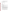**Note:** Comparative work performed in the Environmental Monitoring Systems Laboratory - Cincinnati (EMSL-Cincinnati) indicates a progressive error on sample turbidities in excess of 40 units.

#### **12.0 DATA ANALYSIS AND CALCULATIONS**

- 12.1 Multiply sample readings by appropriate dilution to obtain final reading.
- 12.2 Report results as follows:

| NTU          | <b>Record to Nearest:</b> |  |  |
|--------------|---------------------------|--|--|
| $0.0 - 1.0$  | 0.05                      |  |  |
| $1 - 10$     | 0.1                       |  |  |
| $10 - 40$    | 1                         |  |  |
| $40 - 100$   | 5                         |  |  |
| $100 - 400$  | 10                        |  |  |
| $400 - 1000$ | 50                        |  |  |
| >1000        | 100                       |  |  |

#### **13.0 METHOD PERFORMANCE**

- 13.1 In a single laboratory (EMSL-Cincinnati), using surface water samples at levels of 26, 41, 75, and 180 NTU, the standard deviations were  $\pm 0.60$ ,  $\pm 0.94$ ,  $\pm 1.2$ , and  $\pm 4.7$  units, respectively.
- 13.2 The interlaboratory precision and accuracy data in Table 1 were developed using a reagent water matrix. Values are in NTU.

#### **14.0 POLLUTION PREVENTION**

- 14.1 Pollution prevention encompasses any technique that reduces or eliminates the quantity or toxicity of waste at the point of generation. Numerous opportunities for pollution prevention exist in laboratory operation. The EPA has established a preferred hierarchy of environmental management techniques that places pollution prevention as the management option of first choice. Whenever feasible, laboratory personnel should use pollution prevention techniques to address their waste generation. When wastes cannot be feasibly reduced at the source, the Agency recommends recycling as the next best option.
- 14.2 The quantity of chemicals purchased should be based on expected usage during its shelf life and disposal cost of unused material. Actual reagent preparation volumes should reflect anticipated usage and reagent stability.
- 14.3 For information about pollution prevention that may be applicable to laboratories and research institutions, consult "Less is Better: Laboratory Chemical Management for Waste Reduction," available from the American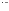Chemical Society's Department of Government Regulations and Science Policy, 1155 16th Street N.W., Washington D.C. 20036, (202)872-4477.

#### **15.0 WASTE MANAGEMENT**

15.1 The U.S. Environmental Protection Agency requires that laboratory waste management practices be conducted consistent with all applicable rules and regulations. Excess reagents, samples and method process wastes should be characterized and disposed of in an acceptable manner. The Agency urges laboratories to protect the air, water and land by minimizing and controlling all releases from hoods, and bench operations, complying with the letter and spirit of any waste discharge permit and regulations, and by complying with all solid and hazardous waste regulations, particularly the hazardous waste identification rules and land disposal restrictions. For further information on waste management consult the "Waste Management Manual for Laboratory Personnel," available from the American Chemical Society at the address listed in Section 14.3.

#### **16.0 REFERENCES**

- 1. Annual Book of ASTM Standards, Volume 11.01 Water (1), Standard D1889-88A, p. 359, (1993).
- 2. Standard Methods for the Examination of Water and Wastewater, 18th Edition, pp. 2-9, Method 2130B, (1992).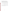| Number of<br><b>Values</b><br><b>Reported</b> | <b>True</b><br><b>Value</b><br>(T) | Mean<br>(X) | <b>Residual</b><br>for $X$ | <b>Standard</b><br><b>Deviation</b><br>(S) | <b>Residual</b><br>for S |
|-----------------------------------------------|------------------------------------|-------------|----------------------------|--------------------------------------------|--------------------------|
| 373                                           | 0.450                              | 0.4864      | 0.0027                     | 0.1071                                     | $-0.0078$                |
| 374                                           | 0.600                              | 0.6026      | $-0.0244$                  | 0.1048                                     | $-0.0211$                |
| 289                                           | 0.65                               | 0.6931      | 0.0183                     | 0.1301                                     | 0.0005                   |
| 482                                           | 0.910                              | 0.9244      | 0.0013                     | 0.2512                                     | 0.1024                   |
| 484                                           | 0.910                              | 0.9919      | 0.0688                     | 0.1486                                     | $-0.0002$                |
| 489                                           | 1.00                               | 0.9405      | $-0.0686$                  | 0.1318                                     | $-0.0236$                |
| 640                                           | 1.36                               | 1.3456      | $-0.0074$                  | 0.1894                                     | 0.0075                   |
| 487                                           | 3.40                               | 3.2616      | $-0.0401$                  | 0.3219                                     | $-0.0103$                |
| 288                                           | 4.8                                | 4.5684      | $-0.0706$                  | 0.3776                                     | $-0.0577$                |
| 714                                           | 5.60                               | 5.6984      | 0.2952                     | 0.4411                                     | $-0.0531$                |
| 641                                           | 5.95                               | 5.6026      | $-0.1350$                  | 0.4122                                     | $-0.1078$                |

**TABLE 1. INTERLABORATORY PRECISION AND ACCURACY DATA** 

REGRESSIONS:  $X = 0.955T + 0.54$ ,  $S = 0.074T + 0.082$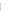### **APPENDIX B**

**Recirculation System Schematic [to be completed for final QAPP]**